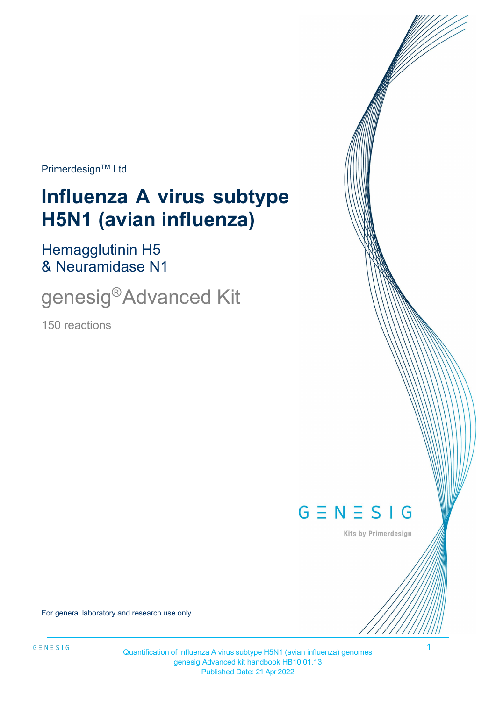**Primerdesign™ Ltd** 

# **Influenza A virus subtype H5N1 (avian influenza)**

Hemagglutinin H5 & Neuramidase N1

genesig®Advanced Kit

150 reactions



Kits by Primerdesign

For general laboratory and research use only

1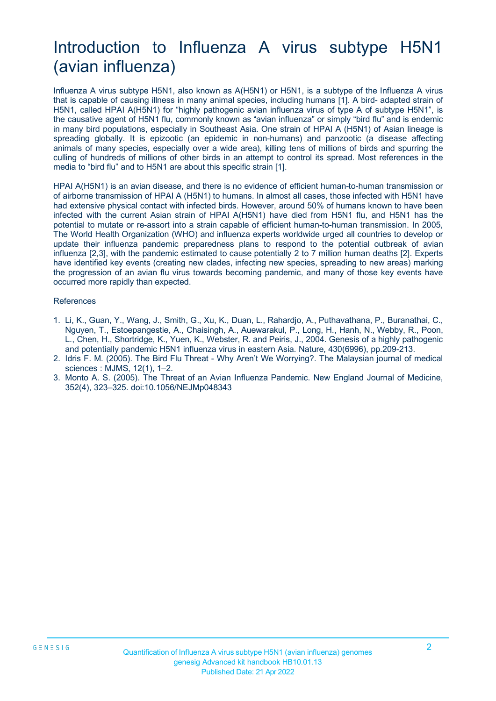# Introduction to Influenza A virus subtype H5N1 (avian influenza)

Influenza A virus subtype H5N1, also known as A(H5N1) or H5N1, is a subtype of the Influenza A virus that is capable of causing illness in many animal species, including humans [1]. A bird- adapted strain of H5N1, called HPAI A(H5N1) for "highly pathogenic avian influenza virus of type A of subtype H5N1", is the causative agent of H5N1 flu, commonly known as "avian influenza" or simply "bird flu" and is endemic in many bird populations, especially in Southeast Asia. One strain of HPAI A (H5N1) of Asian lineage is spreading globally. It is epizootic (an epidemic in non-humans) and panzootic (a disease affecting animals of many species, especially over a wide area), killing tens of millions of birds and spurring the culling of hundreds of millions of other birds in an attempt to control its spread. Most references in the media to "bird flu" and to H5N1 are about this specific strain [1].

HPAI A(H5N1) is an avian disease, and there is no evidence of efficient human-to-human transmission or of airborne transmission of HPAI A (H5N1) to humans. In almost all cases, those infected with H5N1 have had extensive physical contact with infected birds. However, around 50% of humans known to have been infected with the current Asian strain of HPAI A(H5N1) have died from H5N1 flu, and H5N1 has the potential to mutate or re-assort into a strain capable of efficient human-to-human transmission. In 2005, The World Health Organization (WHO) and influenza experts worldwide urged all countries to develop or update their influenza pandemic preparedness plans to respond to the potential outbreak of avian influenza [2,3], with the pandemic estimated to cause potentially 2 to 7 million human deaths [2]. Experts have identified key events (creating new clades, infecting new species, spreading to new areas) marking the progression of an avian flu virus towards becoming pandemic, and many of those key events have occurred more rapidly than expected.

#### References

- 1. Li, K., Guan, Y., Wang, J., Smith, G., Xu, K., Duan, L., Rahardjo, A., Puthavathana, P., Buranathai, C., Nguyen, T., Estoepangestie, A., Chaisingh, A., Auewarakul, P., Long, H., Hanh, N., Webby, R., Poon, L., Chen, H., Shortridge, K., Yuen, K., Webster, R. and Peiris, J., 2004. Genesis of a highly pathogenic and potentially pandemic H5N1 influenza virus in eastern Asia. Nature, 430(6996), pp.209-213.
- 2. Idris F. M. (2005). The Bird Flu Threat Why Aren't We Worrying?. The Malaysian journal of medical sciences : MJMS, 12(1), 1–2.
- 3. Monto A. S. (2005). The Threat of an Avian Influenza Pandemic. New England Journal of Medicine, 352(4), 323–325. doi:10.1056/NEJMp048343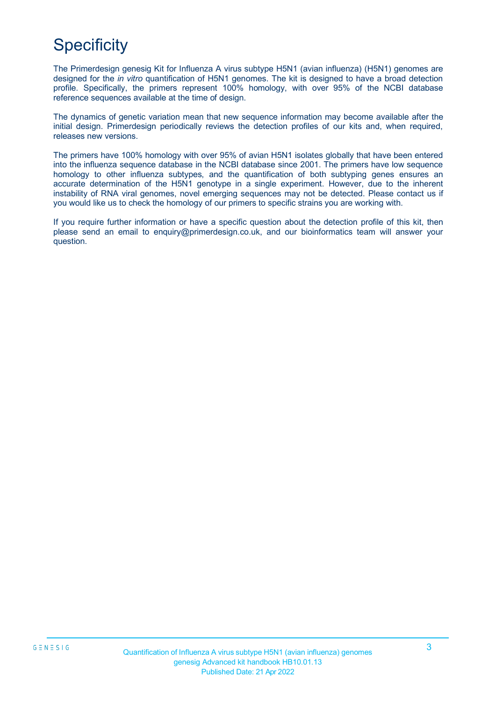# **Specificity**

The Primerdesign genesig Kit for Influenza A virus subtype H5N1 (avian influenza) (H5N1) genomes are designed for the *in vitro* quantification of H5N1 genomes. The kit is designed to have a broad detection profile. Specifically, the primers represent 100% homology, with over 95% of the NCBI database reference sequences available at the time of design.

The dynamics of genetic variation mean that new sequence information may become available after the initial design. Primerdesign periodically reviews the detection profiles of our kits and, when required, releases new versions.

The primers have 100% homology with over 95% of avian H5N1 isolates globally that have been entered into the influenza sequence database in the NCBI database since 2001. The primers have low sequence homology to other influenza subtypes, and the quantification of both subtyping genes ensures an accurate determination of the H5N1 genotype in a single experiment. However, due to the inherent instability of RNA viral genomes, novel emerging sequences may not be detected. Please contact us if you would like us to check the homology of our primers to specific strains you are working with.

If you require further information or have a specific question about the detection profile of this kit, then please send an email to [enquiry@primerdesign.co.uk, a](mailto:enquiry@primerdesign.co.uk)nd our bioinformatics team will answer your question.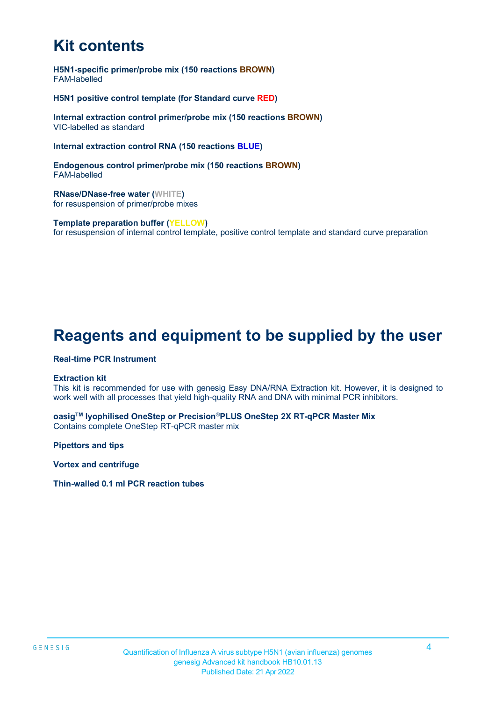# **Kit contents**

**H5N1-specific primer/probe mix (150 reactions BROWN)** FAM-labelled

**H5N1 positive control template (for Standard curve RED)**

**Internal extraction control primer/probe mix (150 reactions BROWN)** VIC-labelled as standard

**Internal extraction control RNA (150 reactions BLUE)**

**Endogenous control primer/probe mix (150 reactions BROWN)** FAM-labelled

**RNase/DNase-free water (WHITE)** for resuspension of primer/probe mixes

**Template preparation buffer (YELLOW)** for resuspension of internal control template, positive control template and standard curve preparation

### **Reagents and equipment to be supplied by the user**

#### **Real-time PCR Instrument**

#### **Extraction kit**

This kit is recommended for use with genesig Easy DNA/RNA Extraction kit. However, it is designed to work well with all processes that yield high-quality RNA and DNA with minimal PCR inhibitors.

**oasigTM lyophilised OneStep or Precision**®**PLUS OneStep 2X RT-qPCR Master Mix** Contains complete OneStep RT-qPCR master mix

**Pipettors and tips** 

**Vortex and centrifuge**

**Thin-walled 0.1 ml PCR reaction tubes**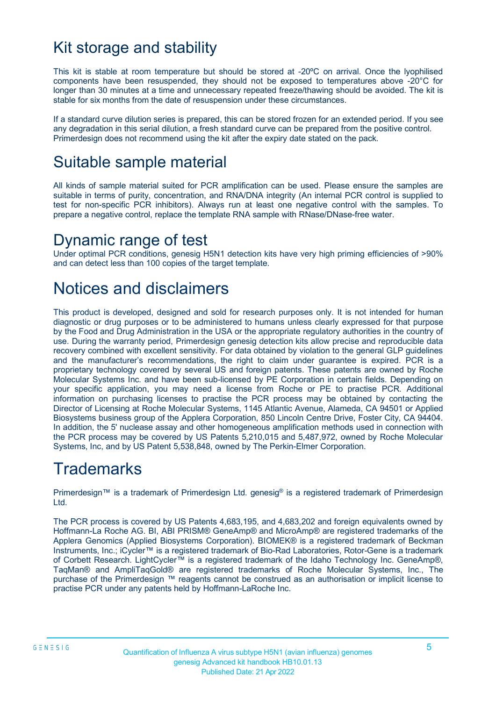### Kit storage and stability

This kit is stable at room temperature but should be stored at -20ºC on arrival. Once the lyophilised components have been resuspended, they should not be exposed to temperatures above -20°C for longer than 30 minutes at a time and unnecessary repeated freeze/thawing should be avoided. The kit is stable for six months from the date of resuspension under these circumstances.

If a standard curve dilution series is prepared, this can be stored frozen for an extended period. If you see any degradation in this serial dilution, a fresh standard curve can be prepared from the positive control. Primerdesign does not recommend using the kit after the expiry date stated on the pack.

### Suitable sample material

All kinds of sample material suited for PCR amplification can be used. Please ensure the samples are suitable in terms of purity, concentration, and RNA/DNA integrity (An internal PCR control is supplied to test for non-specific PCR inhibitors). Always run at least one negative control with the samples. To prepare a negative control, replace the template RNA sample with RNase/DNase-free water.

### Dynamic range of test

Under optimal PCR conditions, genesig H5N1 detection kits have very high priming efficiencies of >90% and can detect less than 100 copies of the target template.

# Notices and disclaimers

This product is developed, designed and sold for research purposes only. It is not intended for human diagnostic or drug purposes or to be administered to humans unless clearly expressed for that purpose by the Food and Drug Administration in the USA or the appropriate regulatory authorities in the country of use. During the warranty period, Primerdesign genesig detection kits allow precise and reproducible data recovery combined with excellent sensitivity. For data obtained by violation to the general GLP guidelines and the manufacturer's recommendations, the right to claim under guarantee is expired. PCR is a proprietary technology covered by several US and foreign patents. These patents are owned by Roche Molecular Systems Inc. and have been sub-licensed by PE Corporation in certain fields. Depending on your specific application, you may need a license from Roche or PE to practise PCR. Additional information on purchasing licenses to practise the PCR process may be obtained by contacting the Director of Licensing at Roche Molecular Systems, 1145 Atlantic Avenue, Alameda, CA 94501 or Applied Biosystems business group of the Applera Corporation, 850 Lincoln Centre Drive, Foster City, CA 94404. In addition, the 5' nuclease assay and other homogeneous amplification methods used in connection with the PCR process may be covered by US Patents 5,210,015 and 5,487,972, owned by Roche Molecular Systems, Inc, and by US Patent 5,538,848, owned by The Perkin-Elmer Corporation.

# **Trademarks**

Primerdesign™ is a trademark of Primerdesign Ltd. genesig® is a registered trademark of Primerdesign Ltd.

The PCR process is covered by US Patents 4,683,195, and 4,683,202 and foreign equivalents owned by Hoffmann-La Roche AG. BI, ABI PRISM® GeneAmp® and MicroAmp® are registered trademarks of the Applera Genomics (Applied Biosystems Corporation). BIOMEK® is a registered trademark of Beckman Instruments, Inc.; iCycler™ is a registered trademark of Bio-Rad Laboratories, Rotor-Gene is a trademark of Corbett Research. LightCycler™ is a registered trademark of the Idaho Technology Inc. GeneAmp®, TaqMan® and AmpliTaqGold® are registered trademarks of Roche Molecular Systems, Inc., The purchase of the Primerdesign ™ reagents cannot be construed as an authorisation or implicit license to practise PCR under any patents held by Hoffmann-LaRoche Inc.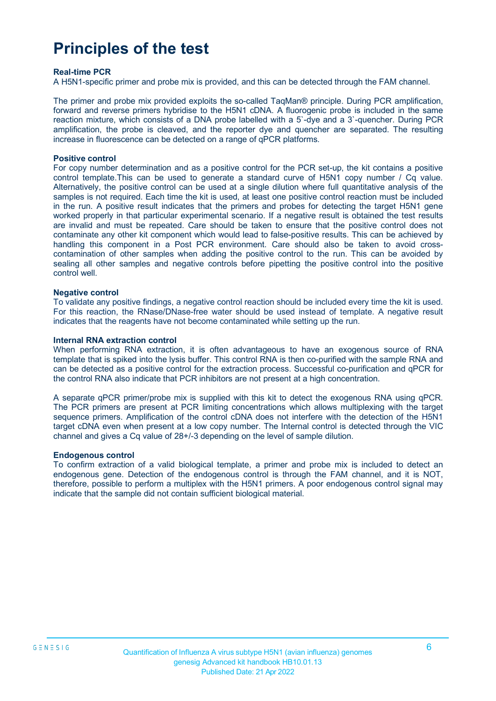# **Principles of the test**

#### **Real-time PCR**

A H5N1-specific primer and probe mix is provided, and this can be detected through the FAM channel.

The primer and probe mix provided exploits the so-called TaqMan® principle. During PCR amplification, forward and reverse primers hybridise to the H5N1 cDNA. A fluorogenic probe is included in the same reaction mixture, which consists of a DNA probe labelled with a 5`-dye and a 3`-quencher. During PCR amplification, the probe is cleaved, and the reporter dye and quencher are separated. The resulting increase in fluorescence can be detected on a range of qPCR platforms.

#### **Positive control**

For copy number determination and as a positive control for the PCR set-up, the kit contains a positive control template.This can be used to generate a standard curve of H5N1 copy number / Cq value. Alternatively, the positive control can be used at a single dilution where full quantitative analysis of the samples is not required. Each time the kit is used, at least one positive control reaction must be included in the run. A positive result indicates that the primers and probes for detecting the target H5N1 gene worked properly in that particular experimental scenario. If a negative result is obtained the test results are invalid and must be repeated. Care should be taken to ensure that the positive control does not contaminate any other kit component which would lead to false-positive results. This can be achieved by handling this component in a Post PCR environment. Care should also be taken to avoid crosscontamination of other samples when adding the positive control to the run. This can be avoided by sealing all other samples and negative controls before pipetting the positive control into the positive control well.

#### **Negative control**

To validate any positive findings, a negative control reaction should be included every time the kit is used. For this reaction, the RNase/DNase-free water should be used instead of template. A negative result indicates that the reagents have not become contaminated while setting up the run.

#### **Internal RNA extraction control**

When performing RNA extraction, it is often advantageous to have an exogenous source of RNA template that is spiked into the lysis buffer. This control RNA is then co-purified with the sample RNA and can be detected as a positive control for the extraction process. Successful co-purification and qPCR for the control RNA also indicate that PCR inhibitors are not present at a high concentration.

A separate qPCR primer/probe mix is supplied with this kit to detect the exogenous RNA using qPCR. The PCR primers are present at PCR limiting concentrations which allows multiplexing with the target sequence primers. Amplification of the control cDNA does not interfere with the detection of the H5N1 target cDNA even when present at a low copy number. The Internal control is detected through the VIC channel and gives a Cq value of 28+/-3 depending on the level of sample dilution.

#### **Endogenous control**

To confirm extraction of a valid biological template, a primer and probe mix is included to detect an endogenous gene. Detection of the endogenous control is through the FAM channel, and it is NOT, therefore, possible to perform a multiplex with the H5N1 primers. A poor endogenous control signal may indicate that the sample did not contain sufficient biological material.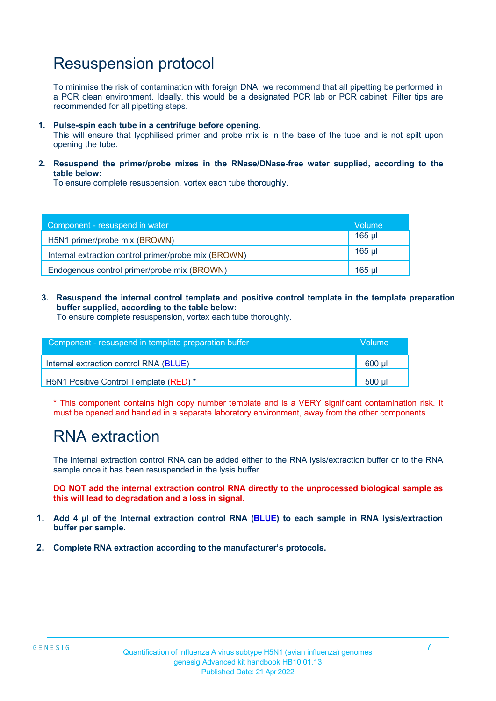### Resuspension protocol

To minimise the risk of contamination with foreign DNA, we recommend that all pipetting be performed in a PCR clean environment. Ideally, this would be a designated PCR lab or PCR cabinet. Filter tips are recommended for all pipetting steps.

**1. Pulse-spin each tube in a centrifuge before opening.**

This will ensure that lyophilised primer and probe mix is in the base of the tube and is not spilt upon opening the tube.

**2. Resuspend the primer/probe mixes in the RNase/DNase-free water supplied, according to the table below:**

To ensure complete resuspension, vortex each tube thoroughly.

| Component - resuspend in water                       | Volume   |
|------------------------------------------------------|----------|
| H5N1 primer/probe mix (BROWN)                        | $165$ µl |
| Internal extraction control primer/probe mix (BROWN) | $165$ µl |
| Endogenous control primer/probe mix (BROWN)          | 165 ul   |

**3. Resuspend the internal control template and positive control template in the template preparation buffer supplied, according to the table below:**

To ensure complete resuspension, vortex each tube thoroughly.

| Component - resuspend in template preparation buffer |        |  |  |
|------------------------------------------------------|--------|--|--|
| Internal extraction control RNA (BLUE)               | 600 ul |  |  |
| H5N1 Positive Control Template (RED) *               | 500 ul |  |  |

\* This component contains high copy number template and is a VERY significant contamination risk. It must be opened and handled in a separate laboratory environment, away from the other components.

### RNA extraction

The internal extraction control RNA can be added either to the RNA lysis/extraction buffer or to the RNA sample once it has been resuspended in the lysis buffer.

**DO NOT add the internal extraction control RNA directly to the unprocessed biological sample as this will lead to degradation and a loss in signal.**

- **1. Add 4 µl of the Internal extraction control RNA (BLUE) to each sample in RNA lysis/extraction buffer per sample.**
- **2. Complete RNA extraction according to the manufacturer's protocols.**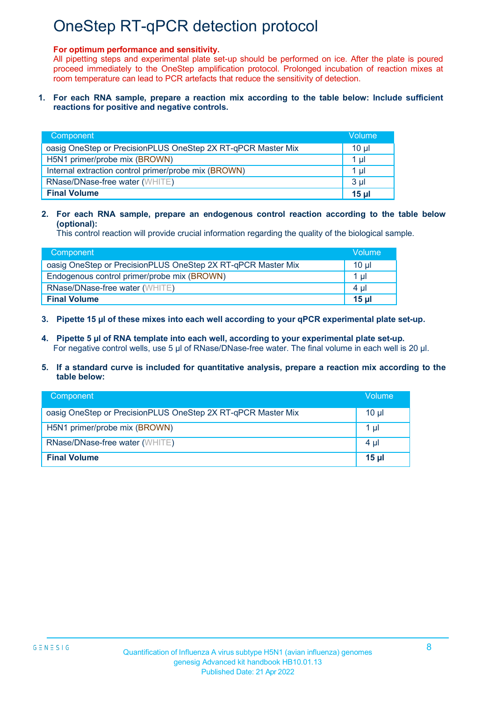## OneStep RT-qPCR detection protocol

#### **For optimum performance and sensitivity.**

All pipetting steps and experimental plate set-up should be performed on ice. After the plate is poured proceed immediately to the OneStep amplification protocol. Prolonged incubation of reaction mixes at room temperature can lead to PCR artefacts that reduce the sensitivity of detection.

#### **1. For each RNA sample, prepare a reaction mix according to the table below: Include sufficient reactions for positive and negative controls.**

| Component                                                    | Volume         |  |  |
|--------------------------------------------------------------|----------------|--|--|
| oasig OneStep or PrecisionPLUS OneStep 2X RT-qPCR Master Mix | $10 \mu$       |  |  |
| H5N1 primer/probe mix (BROWN)                                |                |  |  |
| Internal extraction control primer/probe mix (BROWN)         |                |  |  |
| RNase/DNase-free water (WHITE)                               | 3 <sub>µ</sub> |  |  |
| <b>Final Volume</b>                                          | 15 ul          |  |  |

#### **2. For each RNA sample, prepare an endogenous control reaction according to the table below (optional):**

This control reaction will provide crucial information regarding the quality of the biological sample.

| Component                                                    | Volume           |
|--------------------------------------------------------------|------------------|
| oasig OneStep or PrecisionPLUS OneStep 2X RT-qPCR Master Mix | 10 ul            |
| Endogenous control primer/probe mix (BROWN)                  | 1 ul 1           |
| RNase/DNase-free water (WHITE)                               | 4 ul             |
| <b>Final Volume</b>                                          | 15 <sub>ul</sub> |

#### **3. Pipette 15 µl of these mixes into each well according to your qPCR experimental plate set-up.**

**4. Pipette 5 µl of RNA template into each well, according to your experimental plate set-up.** For negative control wells, use 5 µl of RNase/DNase-free water. The final volume in each well is 20 µl.

#### **5. If a standard curve is included for quantitative analysis, prepare a reaction mix according to the table below:**

| <b>Component</b>                                             | Volume          |
|--------------------------------------------------------------|-----------------|
| oasig OneStep or PrecisionPLUS OneStep 2X RT-qPCR Master Mix | $10 \mu$        |
| H5N1 primer/probe mix (BROWN)                                | 1 µl            |
| RNase/DNase-free water (WHITE)                               | 4 µl            |
| <b>Final Volume</b>                                          | 15 <sub>µ</sub> |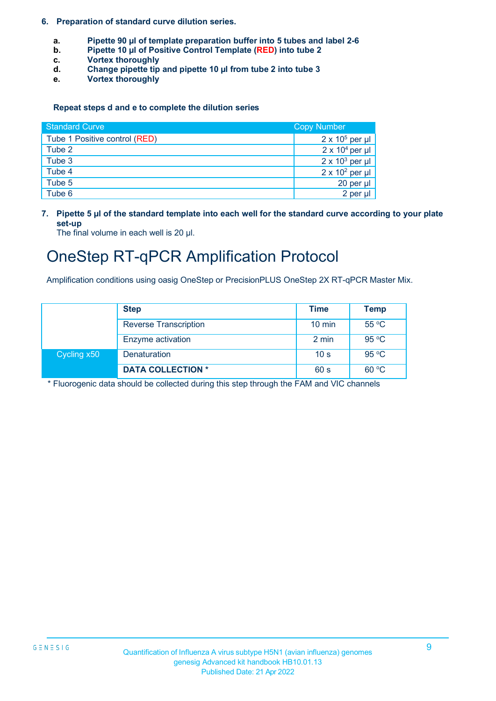#### **6. Preparation of standard curve dilution series.**

- **a. Pipette 90 µl of template preparation buffer into 5 tubes and label 2-6<br><b>b.** Pipette 10 **ul of Positive Control Template** (RED) into tube 2
- **b. Pipette 10 µl of Positive Control Template (RED) into tube 2**
- **c. Vortex thoroughly**
- **d. Change pipette tip and pipette 10 µl from tube 2 into tube 3**
- **e. Vortex thoroughly**

#### **Repeat steps d and e to complete the dilution series**

| <b>Standard Curve</b>         | <b>Copy Number</b>     |  |
|-------------------------------|------------------------|--|
| Tube 1 Positive control (RED) | $2 \times 10^5$ per µl |  |
| Tube 2                        | $2 \times 10^4$ per µl |  |
| Tube 3                        | $2 \times 10^3$ per µl |  |
| Tube 4                        | $2 \times 10^2$ per µl |  |
| Tube 5                        | 20 per µl              |  |
| Tube 6                        | 2 per µl               |  |

**7. Pipette 5 µl of the standard template into each well for the standard curve according to your plate set-up**

The final volume in each well is 20 µl.

### OneStep RT-qPCR Amplification Protocol

Amplification conditions using oasig OneStep or PrecisionPLUS OneStep 2X RT-qPCR Master Mix.

|             | <b>Step</b>                  | Time             | <b>Temp</b> |
|-------------|------------------------------|------------------|-------------|
|             | <b>Reverse Transcription</b> | $10 \text{ min}$ | 55 °C       |
|             | Enzyme activation            | 2 min            | 95 °C       |
| Cycling x50 | <b>Denaturation</b>          | 10 <sub>s</sub>  | 95 °C       |
|             | <b>DATA COLLECTION *</b>     | 60 s             | 60 °C       |

\* Fluorogenic data should be collected during this step through the FAM and VIC channels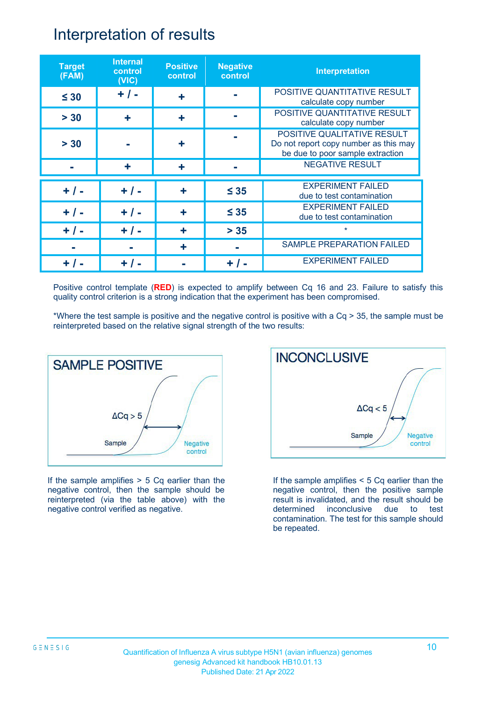### Interpretation of results

| <b>Target</b><br>(FAM) | <b>Internal</b><br>control<br>(VIC) | <b>Positive</b><br>control | <b>Negative</b><br>control | <b>Interpretation</b>                                                                                    |
|------------------------|-------------------------------------|----------------------------|----------------------------|----------------------------------------------------------------------------------------------------------|
| $\leq 30$              | $+ 1 -$                             | ╇                          |                            | POSITIVE QUANTITATIVE RESULT<br>calculate copy number                                                    |
| > 30                   | ÷                                   | ٠                          |                            | POSITIVE QUANTITATIVE RESULT<br>calculate copy number                                                    |
| > 30                   |                                     |                            |                            | POSITIVE QUALITATIVE RESULT<br>Do not report copy number as this may<br>be due to poor sample extraction |
|                        | ÷                                   |                            |                            | <b>NEGATIVE RESULT</b>                                                                                   |
| $+ 1 -$                | $+ / -$                             | ٠                          | $\leq 35$                  | <b>EXPERIMENT FAILED</b><br>due to test contamination                                                    |
| $+$ / -                | $+ 1 -$                             | ÷                          | $\leq 35$                  | <b>EXPERIMENT FAILED</b><br>due to test contamination                                                    |
| $+ / -$                | + / -                               | ٠                          | $> 35$                     | $\star$                                                                                                  |
|                        |                                     | ٠                          |                            | <b>SAMPLE PREPARATION FAILED</b>                                                                         |
|                        |                                     |                            | $+$ /                      | <b>EXPERIMENT FAILED</b>                                                                                 |

Positive control template (**RED**) is expected to amplify between Cq 16 and 23. Failure to satisfy this quality control criterion is a strong indication that the experiment has been compromised.

\*Where the test sample is positive and the negative control is positive with a Cq > 35, the sample must be reinterpreted based on the relative signal strength of the two results:



If the sample amplifies  $> 5$  Cq earlier than the negative control, then the sample should be reinterpreted (via the table above) with the negative control verified as negative.



If the sample amplifies < 5 Cq earlier than the negative control, then the positive sample result is invalidated, and the result should be determined inconclusive due to test contamination. The test for this sample should be repeated.